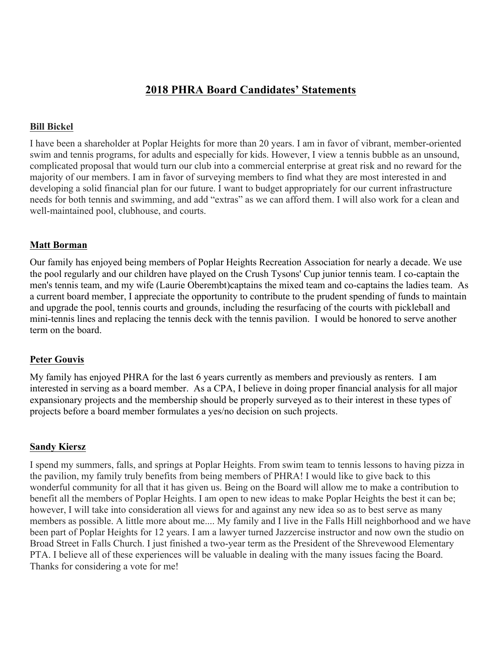# **2018 PHRA Board Candidates' Statements**

#### **Bill Bickel**

I have been a shareholder at Poplar Heights for more than 20 years. I am in favor of vibrant, member-oriented swim and tennis programs, for adults and especially for kids. However, I view a tennis bubble as an unsound, complicated proposal that would turn our club into a commercial enterprise at great risk and no reward for the majority of our members. I am in favor of surveying members to find what they are most interested in and developing a solid financial plan for our future. I want to budget appropriately for our current infrastructure needs for both tennis and swimming, and add "extras" as we can afford them. I will also work for a clean and well-maintained pool, clubhouse, and courts.

#### **Matt Borman**

Our family has enjoyed being members of Poplar Heights Recreation Association for nearly a decade. We use the pool regularly and our children have played on the Crush Tysons' Cup junior tennis team. I co-captain the men's tennis team, and my wife (Laurie Oberembt)captains the mixed team and co-captains the ladies team. As a current board member, I appreciate the opportunity to contribute to the prudent spending of funds to maintain and upgrade the pool, tennis courts and grounds, including the resurfacing of the courts with pickleball and mini-tennis lines and replacing the tennis deck with the tennis pavilion. I would be honored to serve another term on the board.

#### **Peter Gouvis**

My family has enjoyed PHRA for the last 6 years currently as members and previously as renters. I am interested in serving as a board member. As a CPA, I believe in doing proper financial analysis for all major expansionary projects and the membership should be properly surveyed as to their interest in these types of projects before a board member formulates a yes/no decision on such projects.

#### **Sandy Kiersz**

I spend my summers, falls, and springs at Poplar Heights. From swim team to tennis lessons to having pizza in the pavilion, my family truly benefits from being members of PHRA! I would like to give back to this wonderful community for all that it has given us. Being on the Board will allow me to make a contribution to benefit all the members of Poplar Heights. I am open to new ideas to make Poplar Heights the best it can be; however, I will take into consideration all views for and against any new idea so as to best serve as many members as possible. A little more about me.... My family and I live in the Falls Hill neighborhood and we have been part of Poplar Heights for 12 years. I am a lawyer turned Jazzercise instructor and now own the studio on Broad Street in Falls Church. I just finished a two-year term as the President of the Shrevewood Elementary PTA. I believe all of these experiences will be valuable in dealing with the many issues facing the Board. Thanks for considering a vote for me!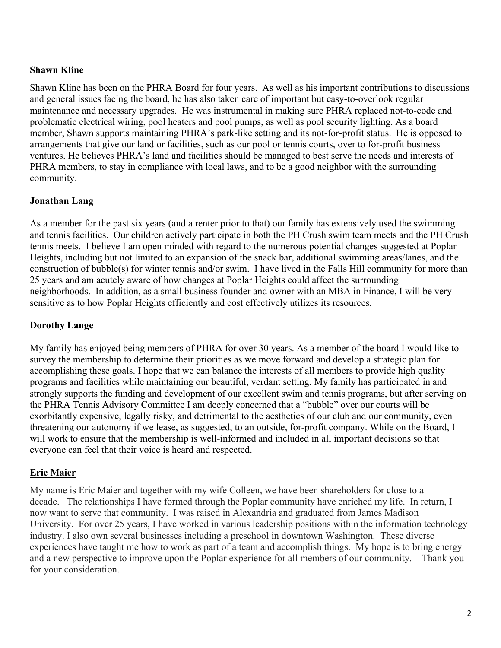## **Shawn Kline**

Shawn Kline has been on the PHRA Board for four years. As well as his important contributions to discussions and general issues facing the board, he has also taken care of important but easy-to-overlook regular maintenance and necessary upgrades. He was instrumental in making sure PHRA replaced not-to-code and problematic electrical wiring, pool heaters and pool pumps, as well as pool security lighting. As a board member, Shawn supports maintaining PHRA's park-like setting and its not-for-profit status. He is opposed to arrangements that give our land or facilities, such as our pool or tennis courts, over to for-profit business ventures. He believes PHRA's land and facilities should be managed to best serve the needs and interests of PHRA members, to stay in compliance with local laws, and to be a good neighbor with the surrounding community.

### **Jonathan Lang**

As a member for the past six years (and a renter prior to that) our family has extensively used the swimming and tennis facilities. Our children actively participate in both the PH Crush swim team meets and the PH Crush tennis meets. I believe I am open minded with regard to the numerous potential changes suggested at Poplar Heights, including but not limited to an expansion of the snack bar, additional swimming areas/lanes, and the construction of bubble(s) for winter tennis and/or swim. I have lived in the Falls Hill community for more than 25 years and am acutely aware of how changes at Poplar Heights could affect the surrounding neighborhoods. In addition, as a small business founder and owner with an MBA in Finance, I will be very sensitive as to how Poplar Heights efficiently and cost effectively utilizes its resources.

### **Dorothy Lange**

My family has enjoyed being members of PHRA for over 30 years. As a member of the board I would like to survey the membership to determine their priorities as we move forward and develop a strategic plan for accomplishing these goals. I hope that we can balance the interests of all members to provide high quality programs and facilities while maintaining our beautiful, verdant setting. My family has participated in and strongly supports the funding and development of our excellent swim and tennis programs, but after serving on the PHRA Tennis Advisory Committee I am deeply concerned that a "bubble" over our courts will be exorbitantly expensive, legally risky, and detrimental to the aesthetics of our club and our community, even threatening our autonomy if we lease, as suggested, to an outside, for-profit company. While on the Board, I will work to ensure that the membership is well-informed and included in all important decisions so that everyone can feel that their voice is heard and respected.

### **Eric Maier**

My name is Eric Maier and together with my wife Colleen, we have been shareholders for close to a decade. The relationships I have formed through the Poplar community have enriched my life. In return, I now want to serve that community. I was raised in Alexandria and graduated from James Madison University. For over 25 years, I have worked in various leadership positions within the information technology industry. I also own several businesses including a preschool in downtown Washington. These diverse experiences have taught me how to work as part of a team and accomplish things. My hope is to bring energy and a new perspective to improve upon the Poplar experience for all members of our community. Thank you for your consideration.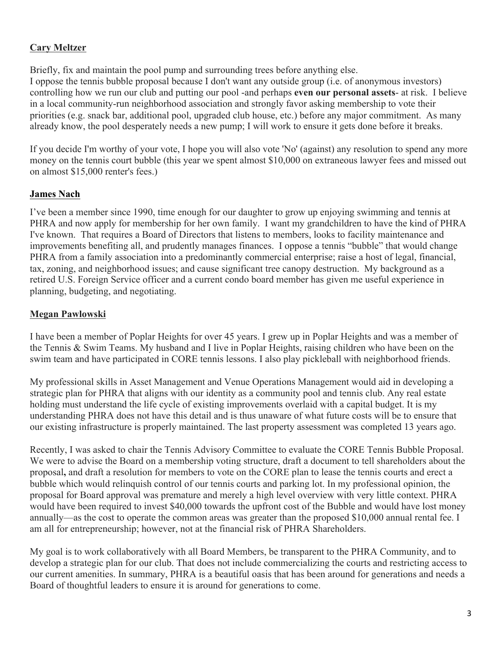## **Cary Meltzer**

Briefly, fix and maintain the pool pump and surrounding trees before anything else. I oppose the tennis bubble proposal because I don't want any outside group (i.e. of anonymous investors) controlling how we run our club and putting our pool -and perhaps **even our personal assets**- at risk. I believe in a local community-run neighborhood association and strongly favor asking membership to vote their priorities (e.g. snack bar, additional pool, upgraded club house, etc.) before any major commitment. As many already know, the pool desperately needs a new pump; I will work to ensure it gets done before it breaks.

If you decide I'm worthy of your vote, I hope you will also vote 'No' (against) any resolution to spend any more money on the tennis court bubble (this year we spent almost \$10,000 on extraneous lawyer fees and missed out on almost \$15,000 renter's fees.)

# **James Nach**

I've been a member since 1990, time enough for our daughter to grow up enjoying swimming and tennis at PHRA and now apply for membership for her own family. I want my grandchildren to have the kind of PHRA I've known. That requires a Board of Directors that listens to members, looks to facility maintenance and improvements benefiting all, and prudently manages finances. I oppose a tennis "bubble" that would change PHRA from a family association into a predominantly commercial enterprise; raise a host of legal, financial, tax, zoning, and neighborhood issues; and cause significant tree canopy destruction. My background as a retired U.S. Foreign Service officer and a current condo board member has given me useful experience in planning, budgeting, and negotiating.

## **Megan Pawlowski**

I have been a member of Poplar Heights for over 45 years. I grew up in Poplar Heights and was a member of the Tennis & Swim Teams. My husband and I live in Poplar Heights, raising children who have been on the swim team and have participated in CORE tennis lessons. I also play pickleball with neighborhood friends.

My professional skills in Asset Management and Venue Operations Management would aid in developing a strategic plan for PHRA that aligns with our identity as a community pool and tennis club. Any real estate holding must understand the life cycle of existing improvements overlaid with a capital budget. It is my understanding PHRA does not have this detail and is thus unaware of what future costs will be to ensure that our existing infrastructure is properly maintained. The last property assessment was completed 13 years ago.

Recently, I was asked to chair the Tennis Advisory Committee to evaluate the CORE Tennis Bubble Proposal. We were to advise the Board on a membership voting structure, draft a document to tell shareholders about the proposal**,** and draft a resolution for members to vote on the CORE plan to lease the tennis courts and erect a bubble which would relinquish control of our tennis courts and parking lot. In my professional opinion, the proposal for Board approval was premature and merely a high level overview with very little context. PHRA would have been required to invest \$40,000 towards the upfront cost of the Bubble and would have lost money annually—as the cost to operate the common areas was greater than the proposed \$10,000 annual rental fee. I am all for entrepreneurship; however, not at the financial risk of PHRA Shareholders.

My goal is to work collaboratively with all Board Members, be transparent to the PHRA Community, and to develop a strategic plan for our club. That does not include commercializing the courts and restricting access to our current amenities. In summary, PHRA is a beautiful oasis that has been around for generations and needs a Board of thoughtful leaders to ensure it is around for generations to come.